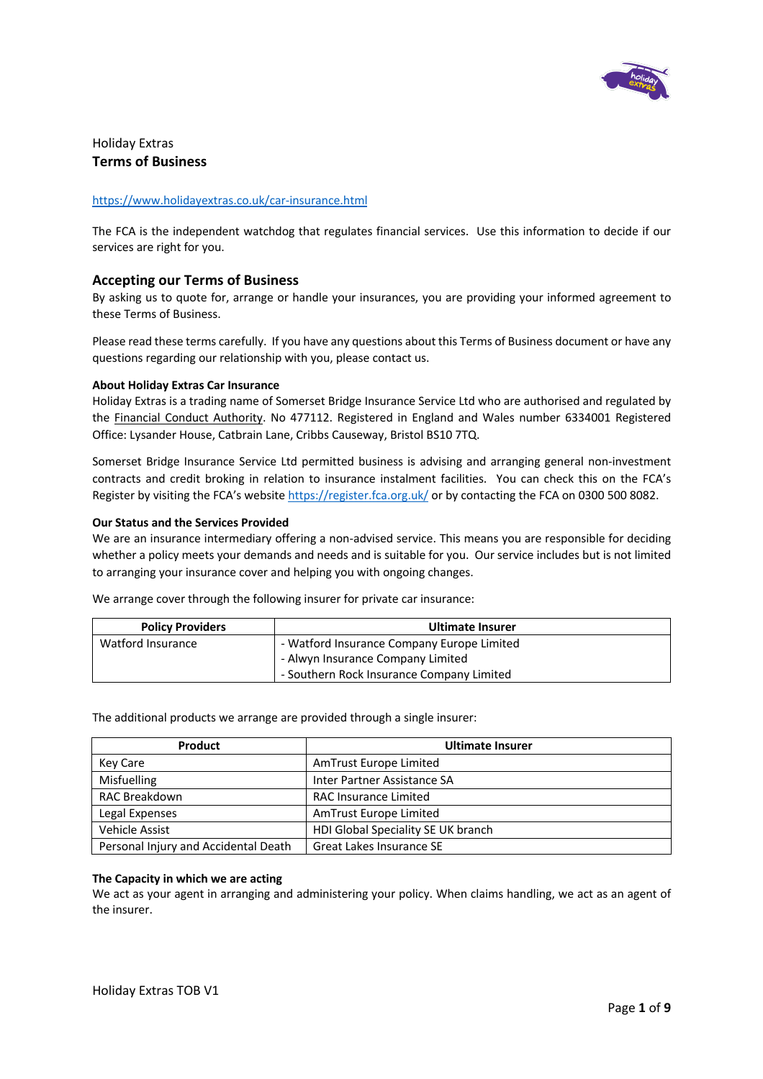

# Holiday Extras **Terms of Business**

# https://www.holidayextras.co.uk/car-insurance.html

The FCA is the independent watchdog that regulates financial services. Use this information to decide if our services are right for you.

# **Accepting our Terms of Business**

By asking us to quote for, arrange or handle your insurances, you are providing your informed agreement to these Terms of Business.

Please read these terms carefully. If you have any questions about this Terms of Business document or have any questions regarding our relationship with you, please contact us.

# **About Holiday Extras Car Insurance**

Holiday Extras is a trading name of Somerset Bridge Insurance Service Ltd who are authorised and regulated by the Financial Conduct Authority. No 477112. Registered in England and Wales number 6334001 Registered Office: Lysander House, Catbrain Lane, Cribbs Causeway, Bristol BS10 7TQ.

Somerset Bridge Insurance Service Ltd permitted business is advising and arranging general non-investment contracts and credit broking in relation to insurance instalment facilities. You can check this on the FCA's Register by visiting the FCA's website https://register.fca.org.uk/ or by contacting the FCA on 0300 500 8082.

# **Our Status and the Services Provided**

We are an insurance intermediary offering a non-advised service. This means you are responsible for deciding whether a policy meets your demands and needs and is suitable for you. Our service includes but is not limited to arranging your insurance cover and helping you with ongoing changes.

We arrange cover through the following insurer for private car insurance:

| <b>Policy Providers</b> | Ultimate Insurer                           |  |
|-------------------------|--------------------------------------------|--|
| Watford Insurance       | - Watford Insurance Company Europe Limited |  |
|                         | - Alwyn Insurance Company Limited          |  |
|                         | - Southern Rock Insurance Company Limited  |  |

The additional products we arrange are provided through a single insurer:

| <b>Product</b>                       | <b>Ultimate Insurer</b>            |
|--------------------------------------|------------------------------------|
| Key Care                             | AmTrust Europe Limited             |
| <b>Misfuelling</b>                   | Inter Partner Assistance SA        |
| <b>RAC Breakdown</b>                 | <b>RAC Insurance Limited</b>       |
| Legal Expenses                       | AmTrust Europe Limited             |
| Vehicle Assist                       | HDI Global Speciality SE UK branch |
| Personal Injury and Accidental Death | Great Lakes Insurance SE           |

#### **The Capacity in which we are acting**

We act as your agent in arranging and administering your policy. When claims handling, we act as an agent of the insurer.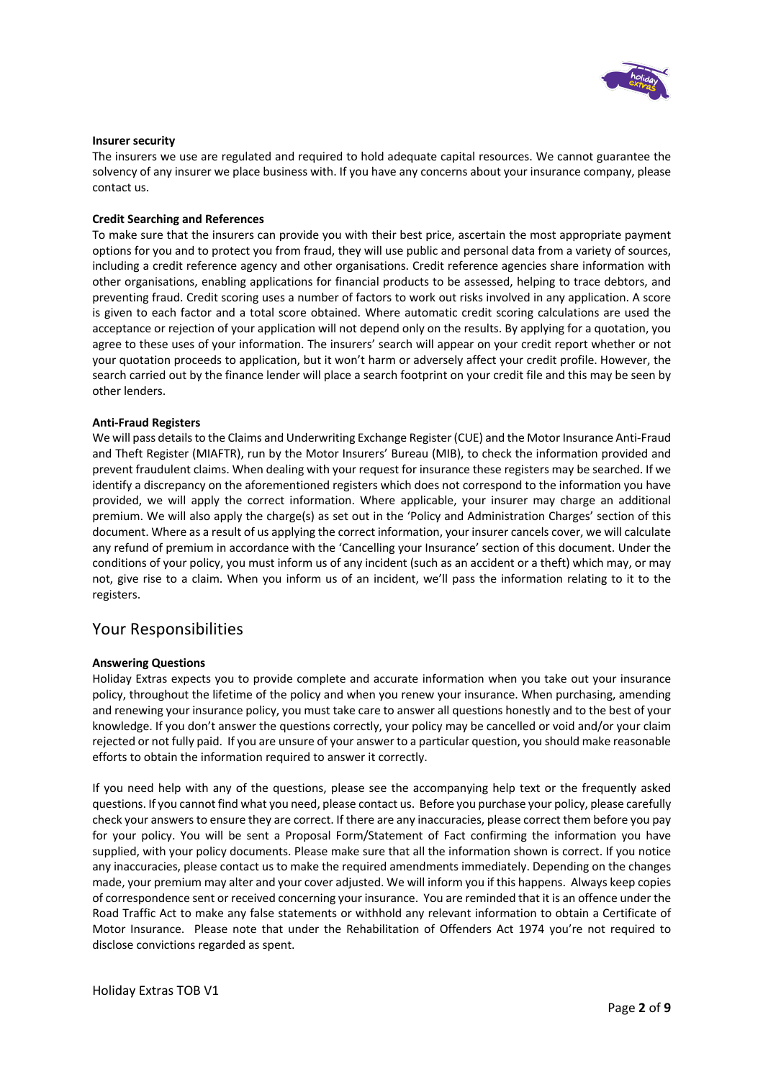

### **Insurer security**

The insurers we use are regulated and required to hold adequate capital resources. We cannot guarantee the solvency of any insurer we place business with. If you have any concerns about your insurance company, please contact us.

# **Credit Searching and References**

To make sure that the insurers can provide you with their best price, ascertain the most appropriate payment options for you and to protect you from fraud, they will use public and personal data from a variety of sources, including a credit reference agency and other organisations. Credit reference agencies share information with other organisations, enabling applications for financial products to be assessed, helping to trace debtors, and preventing fraud. Credit scoring uses a number of factors to work out risks involved in any application. A score is given to each factor and a total score obtained. Where automatic credit scoring calculations are used the acceptance or rejection of your application will not depend only on the results. By applying for a quotation, you agree to these uses of your information. The insurers' search will appear on your credit report whether or not your quotation proceeds to application, but it won't harm or adversely affect your credit profile. However, the search carried out by the finance lender will place a search footprint on your credit file and this may be seen by other lenders.

# **Anti-Fraud Registers**

We will pass details to the Claims and Underwriting Exchange Register (CUE) and the Motor Insurance Anti-Fraud and Theft Register (MIAFTR), run by the Motor Insurers' Bureau (MIB), to check the information provided and prevent fraudulent claims. When dealing with your request for insurance these registers may be searched. If we identify a discrepancy on the aforementioned registers which does not correspond to the information you have provided, we will apply the correct information. Where applicable, your insurer may charge an additional premium. We will also apply the charge(s) as set out in the 'Policy and Administration Charges' section of this document. Where as a result of us applying the correct information, your insurer cancels cover, we will calculate any refund of premium in accordance with the 'Cancelling your Insurance' section of this document. Under the conditions of your policy, you must inform us of any incident (such as an accident or a theft) which may, or may not, give rise to a claim. When you inform us of an incident, we'll pass the information relating to it to the registers.

# Your Responsibilities

#### **Answering Questions**

Holiday Extras expects you to provide complete and accurate information when you take out your insurance policy, throughout the lifetime of the policy and when you renew your insurance. When purchasing, amending and renewing your insurance policy, you must take care to answer all questions honestly and to the best of your knowledge. If you don't answer the questions correctly, your policy may be cancelled or void and/or your claim rejected or not fully paid. If you are unsure of your answer to a particular question, you should make reasonable efforts to obtain the information required to answer it correctly.

If you need help with any of the questions, please see the accompanying help text or the frequently asked questions. If you cannot find what you need, please contact us. Before you purchase your policy, please carefully check your answers to ensure they are correct. If there are any inaccuracies, please correct them before you pay for your policy. You will be sent a Proposal Form/Statement of Fact confirming the information you have supplied, with your policy documents. Please make sure that all the information shown is correct. If you notice any inaccuracies, please contact us to make the required amendments immediately. Depending on the changes made, your premium may alter and your cover adjusted. We will inform you if this happens. Always keep copies of correspondence sent or received concerning your insurance. You are reminded that it is an offence under the Road Traffic Act to make any false statements or withhold any relevant information to obtain a Certificate of Motor Insurance. Please note that under the Rehabilitation of Offenders Act 1974 you're not required to disclose convictions regarded as spent.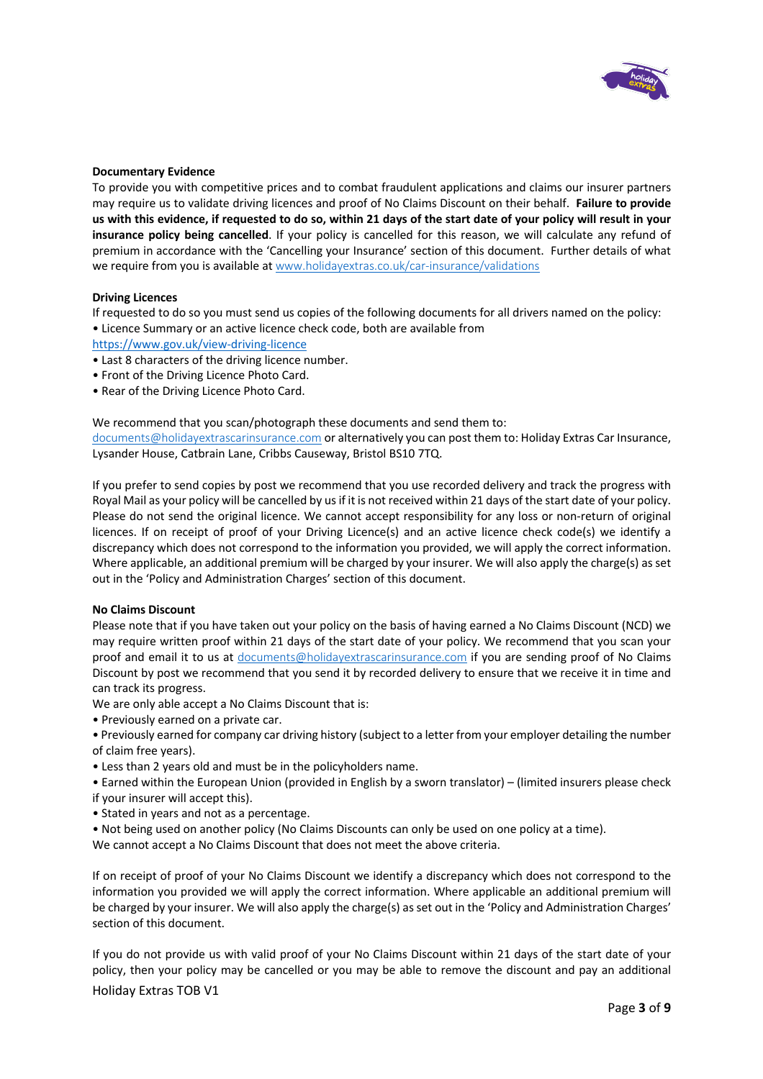

# **Documentary Evidence**

To provide you with competitive prices and to combat fraudulent applications and claims our insurer partners may require us to validate driving licences and proof of No Claims Discount on their behalf. **Failure to provide us with this evidence, if requested to do so, within 21 days of the start date of your policy will result in your insurance policy being cancelled**. If your policy is cancelled for this reason, we will calculate any refund of premium in accordance with the 'Cancelling your Insurance' section of this document. Further details of what we require from you is available at www.holidayextras.co.uk/car-insurance/validations

#### **Driving Licences**

If requested to do so you must send us copies of the following documents for all drivers named on the policy: • Licence Summary or an active licence check code, both are available from

https://www.gov.uk/view-driving-licence

- Last 8 characters of the driving licence number.
- Front of the Driving Licence Photo Card.
- Rear of the Driving Licence Photo Card.

We recommend that you scan/photograph these documents and send them to: documents@holidayextrascarinsurance.com or alternatively you can post them to: Holiday Extras Car Insurance,

Lysander House, Catbrain Lane, Cribbs Causeway, Bristol BS10 7TQ.

If you prefer to send copies by post we recommend that you use recorded delivery and track the progress with Royal Mail as your policy will be cancelled by us if it is not received within 21 days of the start date of your policy. Please do not send the original licence. We cannot accept responsibility for any loss or non-return of original licences. If on receipt of proof of your Driving Licence(s) and an active licence check code(s) we identify a discrepancy which does not correspond to the information you provided, we will apply the correct information. Where applicable, an additional premium will be charged by your insurer. We will also apply the charge(s) as set out in the 'Policy and Administration Charges' section of this document.

#### **No Claims Discount**

Please note that if you have taken out your policy on the basis of having earned a No Claims Discount (NCD) we may require written proof within 21 days of the start date of your policy. We recommend that you scan your proof and email it to us at documents@holidayextrascarinsurance.com if you are sending proof of No Claims Discount by post we recommend that you send it by recorded delivery to ensure that we receive it in time and can track its progress.

We are only able accept a No Claims Discount that is:

- Previously earned on a private car.
- Previously earned for company car driving history (subject to a letter from your employer detailing the number of claim free years).
- Less than 2 years old and must be in the policyholders name.
- Earned within the European Union (provided in English by a sworn translator) (limited insurers please check if your insurer will accept this).
- Stated in years and not as a percentage.
- Not being used on another policy (No Claims Discounts can only be used on one policy at a time).

We cannot accept a No Claims Discount that does not meet the above criteria.

If on receipt of proof of your No Claims Discount we identify a discrepancy which does not correspond to the information you provided we will apply the correct information. Where applicable an additional premium will be charged by your insurer. We will also apply the charge(s) as set out in the 'Policy and Administration Charges' section of this document.

If you do not provide us with valid proof of your No Claims Discount within 21 days of the start date of your policy, then your policy may be cancelled or you may be able to remove the discount and pay an additional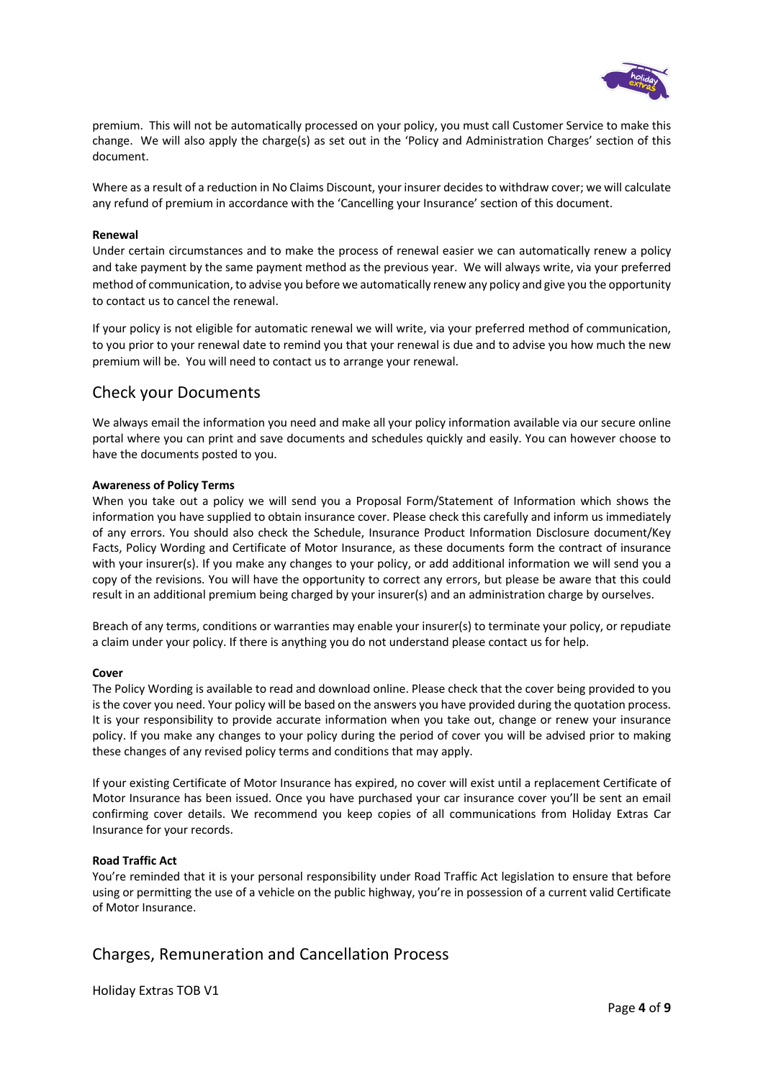

premium. This will not be automatically processed on your policy, you must call Customer Service to make this change. We will also apply the charge(s) as set out in the 'Policy and Administration Charges' section of this document.

Where as a result of a reduction in No Claims Discount, your insurer decides to withdraw cover; we will calculate any refund of premium in accordance with the 'Cancelling your Insurance' section of this document.

# **Renewal**

Under certain circumstances and to make the process of renewal easier we can automatically renew a policy and take payment by the same payment method as the previous year. We will always write, via your preferred method of communication, to advise you before we automatically renew any policy and give you the opportunity to contact us to cancel the renewal.

If your policy is not eligible for automatic renewal we will write, via your preferred method of communication, to you prior to your renewal date to remind you that your renewal is due and to advise you how much the new premium will be. You will need to contact us to arrange your renewal.

# Check your Documents

We always email the information you need and make all your policy information available via our secure online portal where you can print and save documents and schedules quickly and easily. You can however choose to have the documents posted to you.

# **Awareness of Policy Terms**

When you take out a policy we will send you a Proposal Form/Statement of Information which shows the information you have supplied to obtain insurance cover. Please check this carefully and inform us immediately of any errors. You should also check the Schedule, Insurance Product Information Disclosure document/Key Facts, Policy Wording and Certificate of Motor Insurance, as these documents form the contract of insurance with your insurer(s). If you make any changes to your policy, or add additional information we will send you a copy of the revisions. You will have the opportunity to correct any errors, but please be aware that this could result in an additional premium being charged by your insurer(s) and an administration charge by ourselves.

Breach of any terms, conditions or warranties may enable your insurer(s) to terminate your policy, or repudiate a claim under your policy. If there is anything you do not understand please contact us for help.

#### **Cover**

The Policy Wording is available to read and download online. Please check that the cover being provided to you is the cover you need. Your policy will be based on the answers you have provided during the quotation process. It is your responsibility to provide accurate information when you take out, change or renew your insurance policy. If you make any changes to your policy during the period of cover you will be advised prior to making these changes of any revised policy terms and conditions that may apply.

If your existing Certificate of Motor Insurance has expired, no cover will exist until a replacement Certificate of Motor Insurance has been issued. Once you have purchased your car insurance cover you'll be sent an email confirming cover details. We recommend you keep copies of all communications from Holiday Extras Car Insurance for your records.

### **Road Traffic Act**

You're reminded that it is your personal responsibility under Road Traffic Act legislation to ensure that before using or permitting the use of a vehicle on the public highway, you're in possession of a current valid Certificate of Motor Insurance.

# Charges, Remuneration and Cancellation Process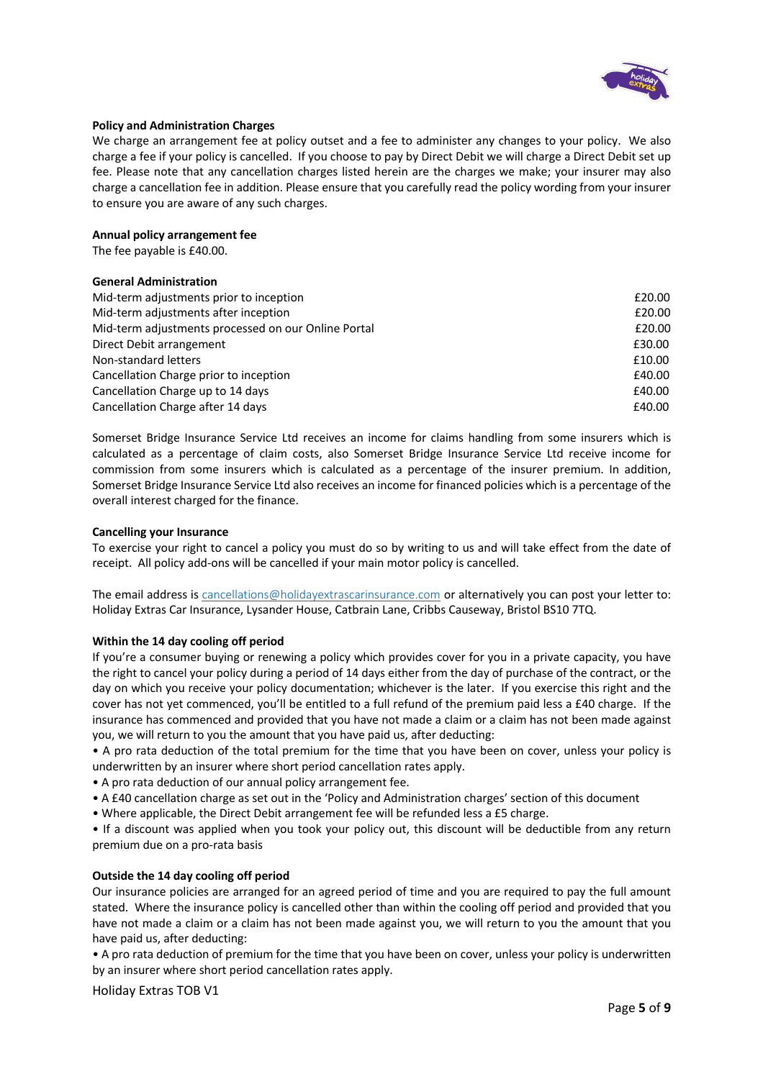

# **Policy and Administration Charges**

We charge an arrangement fee at policy outset and a fee to administer any changes to your policy. We also charge a fee if your policy is cancelled. If you choose to pay by Direct Debit we will charge a Direct Debit set up fee. Please note that any cancellation charges listed herein are the charges we make; your insurer may also charge a cancellation fee in addition. Please ensure that you carefully read the policy wording from your insurer to ensure you are aware of any such charges.

### **Annual policy arrangement fee**

The fee payable is £40.00.

# **General Administration**

| Mid-term adjustments prior to inception             | £20.00 |
|-----------------------------------------------------|--------|
| Mid-term adjustments after inception                | £20.00 |
| Mid-term adjustments processed on our Online Portal | £20.00 |
| Direct Debit arrangement                            | £30.00 |
| Non-standard letters                                | £10.00 |
| Cancellation Charge prior to inception              | £40.00 |
| Cancellation Charge up to 14 days                   | £40.00 |
| Cancellation Charge after 14 days                   | £40.00 |

Somerset Bridge Insurance Service Ltd receives an income for claims handling from some insurers which is calculated as a percentage of claim costs, also Somerset Bridge Insurance Service Ltd receive income for commission from some insurers which is calculated as a percentage of the insurer premium. In addition, Somerset Bridge Insurance Service Ltd also receives an income for financed policies which is a percentage of the overall interest charged for the finance.

# **Cancelling your Insurance**

To exercise your right to cancel a policy you must do so by writing to us and will take effect from the date of receipt. All policy add-ons will be cancelled if your main motor policy is cancelled.

The email address is cancellations@holidayextrascarinsurance.com or alternatively you can post your letter to: Holiday Extras Car Insurance, Lysander House, Catbrain Lane, Cribbs Causeway, Bristol BS10 7TQ.

# **Within the 14 day cooling off period**

If you're a consumer buying or renewing a policy which provides cover for you in a private capacity, you have the right to cancel your policy during a period of 14 days either from the day of purchase of the contract, or the day on which you receive your policy documentation; whichever is the later. If you exercise this right and the cover has not yet commenced, you'll be entitled to a full refund of the premium paid less a £40 charge. If the insurance has commenced and provided that you have not made a claim or a claim has not been made against you, we will return to you the amount that you have paid us, after deducting:

• A pro rata deduction of the total premium for the time that you have been on cover, unless your policy is underwritten by an insurer where short period cancellation rates apply.

- A pro rata deduction of our annual policy arrangement fee.
- A £40 cancellation charge as set out in the 'Policy and Administration charges' section of this document
- Where applicable, the Direct Debit arrangement fee will be refunded less a £5 charge.

• If a discount was applied when you took your policy out, this discount will be deductible from any return premium due on a pro-rata basis

### **Outside the 14 day cooling off period**

Our insurance policies are arranged for an agreed period of time and you are required to pay the full amount stated. Where the insurance policy is cancelled other than within the cooling off period and provided that you have not made a claim or a claim has not been made against you, we will return to you the amount that you have paid us, after deducting:

• A pro rata deduction of premium for the time that you have been on cover, unless your policy is underwritten by an insurer where short period cancellation rates apply.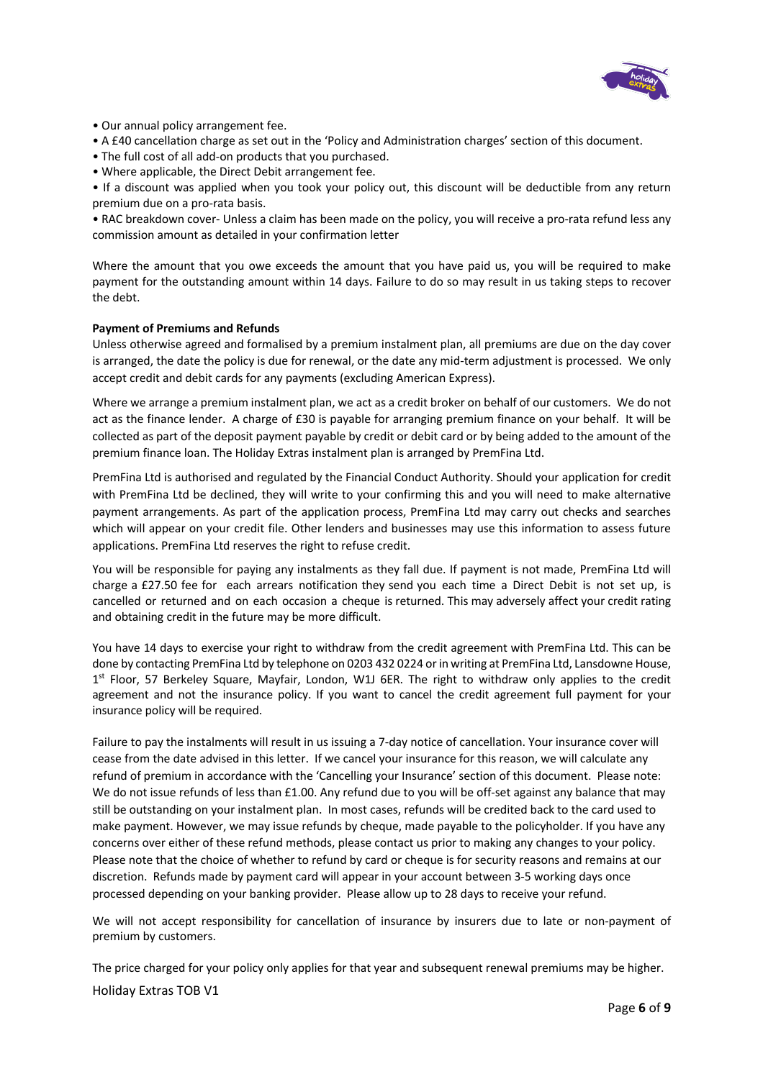

- Our annual policy arrangement fee.
- A £40 cancellation charge as set out in the 'Policy and Administration charges' section of this document.
- The full cost of all add-on products that you purchased.
- Where applicable, the Direct Debit arrangement fee.

• If a discount was applied when you took your policy out, this discount will be deductible from any return premium due on a pro-rata basis.

• RAC breakdown cover- Unless a claim has been made on the policy, you will receive a pro-rata refund less any commission amount as detailed in your confirmation letter

Where the amount that you owe exceeds the amount that you have paid us, you will be required to make payment for the outstanding amount within 14 days. Failure to do so may result in us taking steps to recover the debt.

### **Payment of Premiums and Refunds**

Unless otherwise agreed and formalised by a premium instalment plan, all premiums are due on the day cover is arranged, the date the policy is due for renewal, or the date any mid-term adjustment is processed. We only accept credit and debit cards for any payments (excluding American Express).

Where we arrange a premium instalment plan, we act as a credit broker on behalf of our customers. We do not act as the finance lender. A charge of £30 is payable for arranging premium finance on your behalf. It will be collected as part of the deposit payment payable by credit or debit card or by being added to the amount of the premium finance loan. The Holiday Extras instalment plan is arranged by PremFina Ltd.

PremFina Ltd is authorised and regulated by the Financial Conduct Authority. Should your application for credit with PremFina Ltd be declined, they will write to your confirming this and you will need to make alternative payment arrangements. As part of the application process, PremFina Ltd may carry out checks and searches which will appear on your credit file. Other lenders and businesses may use this information to assess future applications. PremFina Ltd reserves the right to refuse credit.

You will be responsible for paying any instalments as they fall due. If payment is not made, PremFina Ltd will charge a £27.50 fee for each arrears notification they send you each time a Direct Debit is not set up, is cancelled or returned and on each occasion a cheque is returned. This may adversely affect your credit rating and obtaining credit in the future may be more difficult.

You have 14 days to exercise your right to withdraw from the credit agreement with PremFina Ltd. This can be done by contacting PremFina Ltd by telephone on 0203 432 0224 or in writing at PremFina Ltd, Lansdowne House, 1<sup>st</sup> Floor, 57 Berkeley Square, Mayfair, London, W1J 6ER. The right to withdraw only applies to the credit agreement and not the insurance policy. If you want to cancel the credit agreement full payment for your insurance policy will be required.

Failure to pay the instalments will result in us issuing a 7-day notice of cancellation. Your insurance cover will cease from the date advised in this letter. If we cancel your insurance for this reason, we will calculate any refund of premium in accordance with the 'Cancelling your Insurance' section of this document. Please note: We do not issue refunds of less than £1.00. Any refund due to you will be off-set against any balance that may still be outstanding on your instalment plan. In most cases, refunds will be credited back to the card used to make payment. However, we may issue refunds by cheque, made payable to the policyholder. If you have any concerns over either of these refund methods, please contact us prior to making any changes to your policy. Please note that the choice of whether to refund by card or cheque is for security reasons and remains at our discretion. Refunds made by payment card will appear in your account between 3-5 working days once processed depending on your banking provider. Please allow up to 28 days to receive your refund.

We will not accept responsibility for cancellation of insurance by insurers due to late or non-payment of premium by customers.

Holiday Extras TOB V1 The price charged for your policy only applies for that year and subsequent renewal premiums may be higher.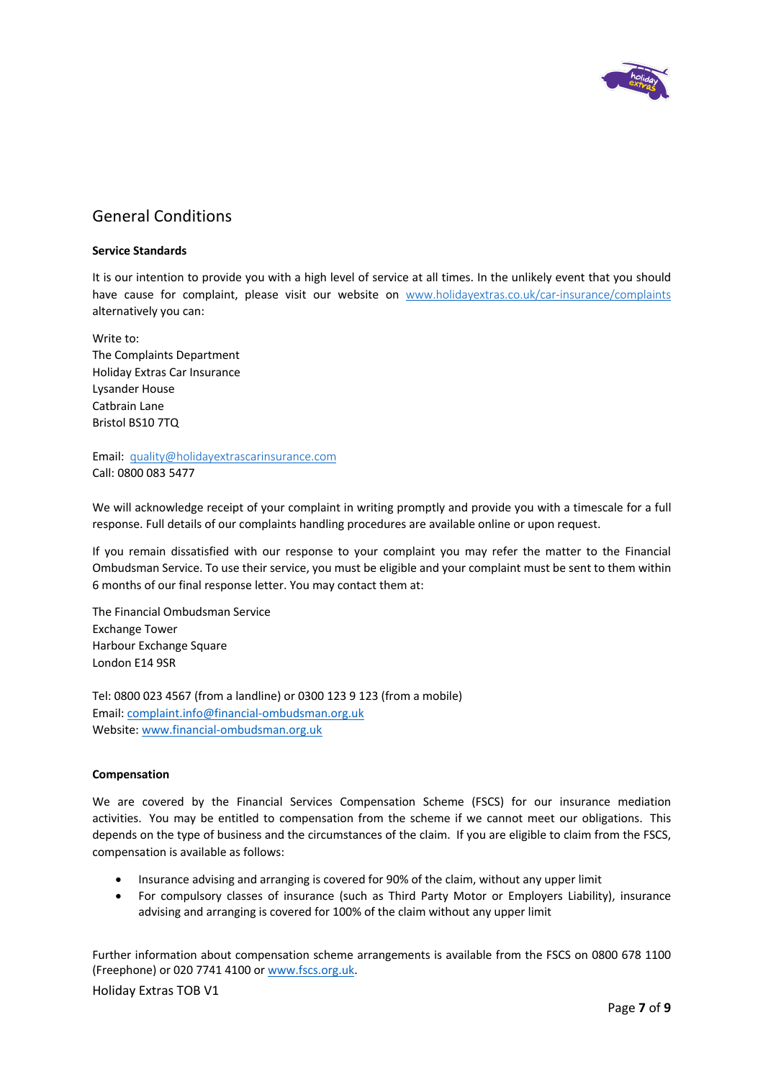

# General Conditions

# **Service Standards**

It is our intention to provide you with a high level of service at all times. In the unlikely event that you should have cause for complaint, please visit our website on www.holidayextras.co.uk/car-insurance/complaints alternatively you can:

Write to: The Complaints Department Holiday Extras Car Insurance Lysander House Catbrain Lane Bristol BS10 7TQ

Email: quality@holidayextrascarinsurance.com Call: 0800 083 5477

We will acknowledge receipt of your complaint in writing promptly and provide you with a timescale for a full response. Full details of our complaints handling procedures are available online or upon request.

If you remain dissatisfied with our response to your complaint you may refer the matter to the Financial Ombudsman Service. To use their service, you must be eligible and your complaint must be sent to them within 6 months of our final response letter. You may contact them at:

The Financial Ombudsman Service Exchange Tower Harbour Exchange Square London E14 9SR

Tel: 0800 023 4567 (from a landline) or 0300 123 9 123 (from a mobile) Email: complaint.info@financial-ombudsman.org.uk Website: www.financial-ombudsman.org.uk

# **Compensation**

We are covered by the Financial Services Compensation Scheme (FSCS) for our insurance mediation activities. You may be entitled to compensation from the scheme if we cannot meet our obligations. This depends on the type of business and the circumstances of the claim. If you are eligible to claim from the FSCS, compensation is available as follows:

- Insurance advising and arranging is covered for 90% of the claim, without any upper limit
- For compulsory classes of insurance (such as Third Party Motor or Employers Liability), insurance advising and arranging is covered for 100% of the claim without any upper limit

Further information about compensation scheme arrangements is available from the FSCS on 0800 678 1100 (Freephone) or 020 7741 4100 or www.fscs.org.uk.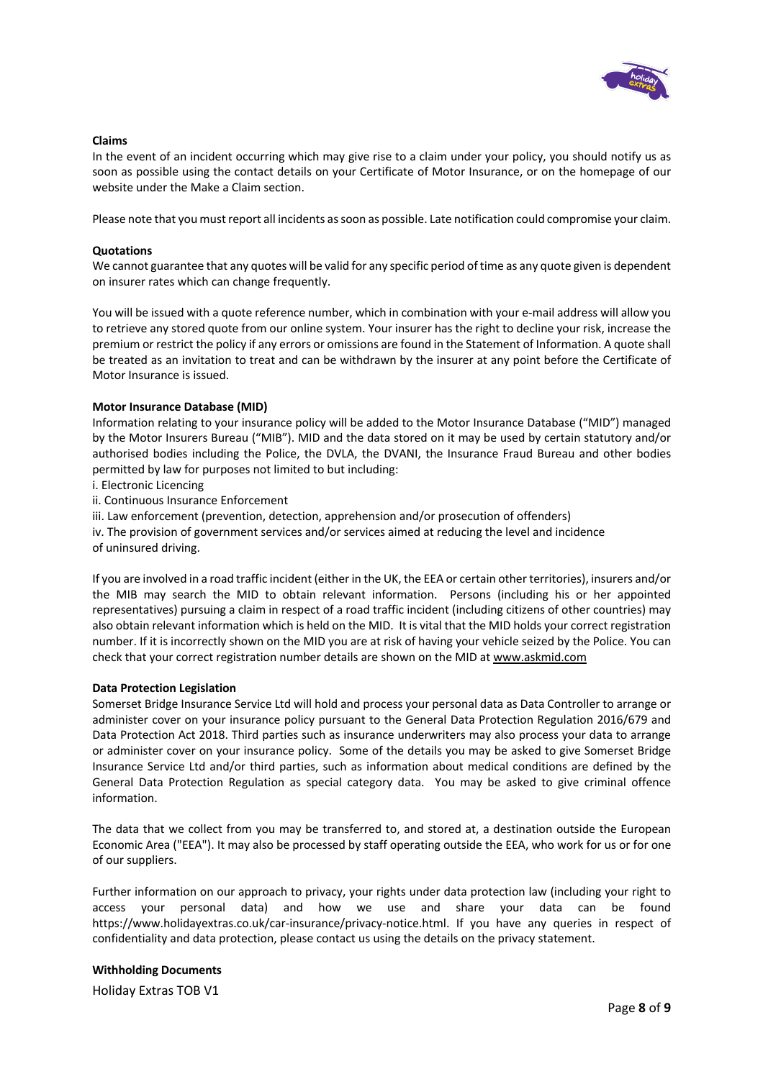

### **Claims**

In the event of an incident occurring which may give rise to a claim under your policy, you should notify us as soon as possible using the contact details on your Certificate of Motor Insurance, or on the homepage of our website under the Make a Claim section.

Please note that you must report all incidents as soon as possible. Late notification could compromise your claim.

### **Quotations**

We cannot guarantee that any quotes will be valid for any specific period of time as any quote given is dependent on insurer rates which can change frequently.

You will be issued with a quote reference number, which in combination with your e-mail address will allow you to retrieve any stored quote from our online system. Your insurer has the right to decline your risk, increase the premium or restrict the policy if any errors or omissions are found in the Statement of Information. A quote shall be treated as an invitation to treat and can be withdrawn by the insurer at any point before the Certificate of Motor Insurance is issued.

#### **Motor Insurance Database (MID)**

Information relating to your insurance policy will be added to the Motor Insurance Database ("MID") managed by the Motor Insurers Bureau ("MIB"). MID and the data stored on it may be used by certain statutory and/or authorised bodies including the Police, the DVLA, the DVANI, the Insurance Fraud Bureau and other bodies permitted by law for purposes not limited to but including:

i. Electronic Licencing

ii. Continuous Insurance Enforcement

iii. Law enforcement (prevention, detection, apprehension and/or prosecution of offenders)

iv. The provision of government services and/or services aimed at reducing the level and incidence

of uninsured driving.

If you are involved in a road traffic incident (either in the UK, the EEA or certain other territories), insurers and/or the MIB may search the MID to obtain relevant information. Persons (including his or her appointed representatives) pursuing a claim in respect of a road traffic incident (including citizens of other countries) may also obtain relevant information which is held on the MID. It is vital that the MID holds your correct registration number. If it is incorrectly shown on the MID you are at risk of having your vehicle seized by the Police. You can check that your correct registration number details are shown on the MID at www.askmid.com

#### **Data Protection Legislation**

Somerset Bridge Insurance Service Ltd will hold and process your personal data as Data Controller to arrange or administer cover on your insurance policy pursuant to the General Data Protection Regulation 2016/679 and Data Protection Act 2018. Third parties such as insurance underwriters may also process your data to arrange or administer cover on your insurance policy. Some of the details you may be asked to give Somerset Bridge Insurance Service Ltd and/or third parties, such as information about medical conditions are defined by the General Data Protection Regulation as special category data. You may be asked to give criminal offence information.

The data that we collect from you may be transferred to, and stored at, a destination outside the European Economic Area ("EEA"). It may also be processed by staff operating outside the EEA, who work for us or for one of our suppliers.

Further information on our approach to privacy, your rights under data protection law (including your right to access your personal data) and how we use and share your data can be found https://www.holidayextras.co.uk/car-insurance/privacy-notice.html. If you have any queries in respect of confidentiality and data protection, please contact us using the details on the privacy statement.

# **Withholding Documents**